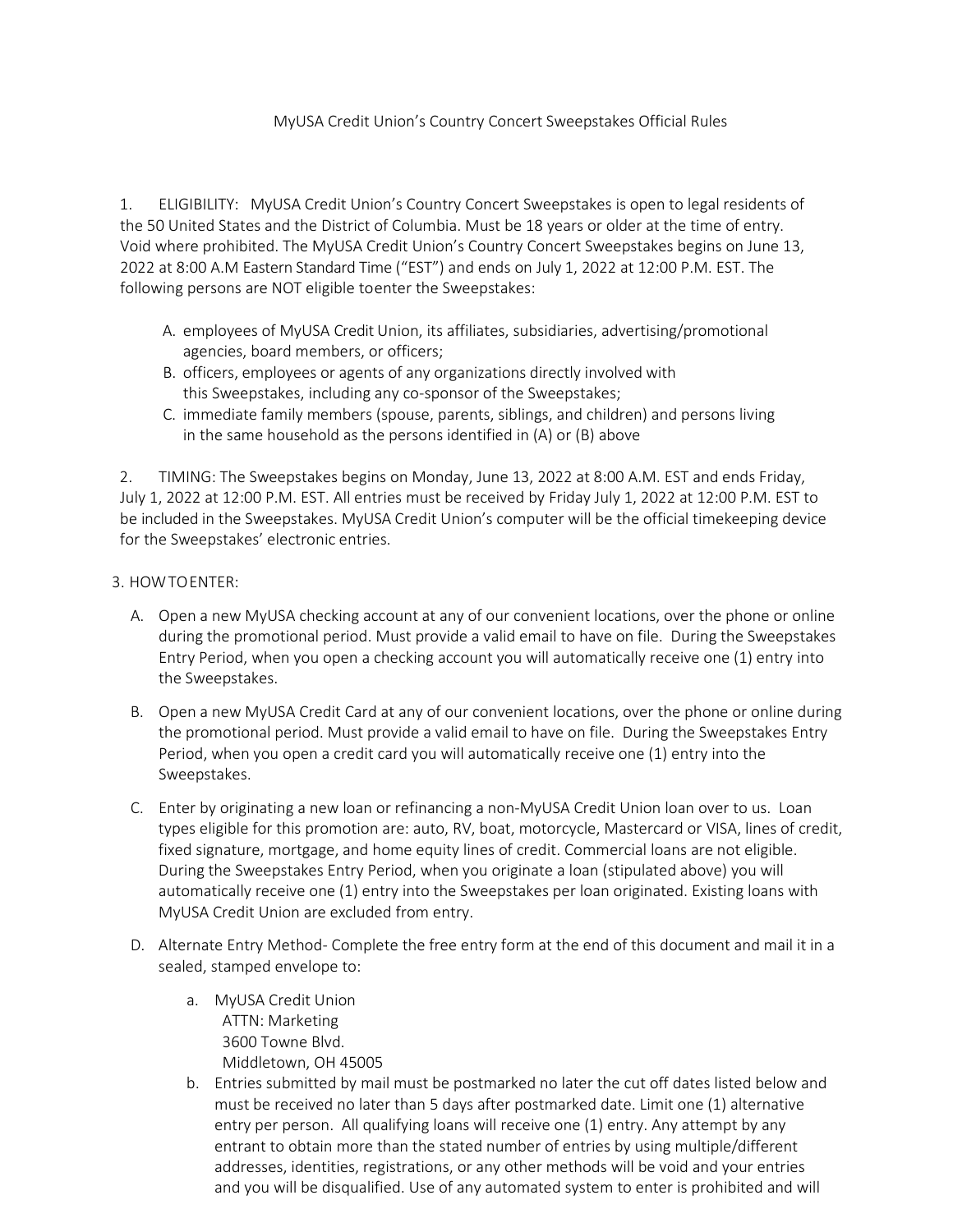## MyUSA Credit Union's Country Concert Sweepstakes Official Rules

1. ELIGIBILITY: MyUSA Credit Union's Country Concert Sweepstakes is open to legal residents of the 50 United States and the District of Columbia. Must be 18 years or older at the time of entry. Void where prohibited. The MyUSA Credit Union's Country Concert Sweepstakes begins on June 13, 2022 at 8:00 A.M Eastern Standard Time ("EST") and ends on July 1, 2022 at 12:00 P.M. EST. The following persons are NOT eligible toenter the Sweepstakes:

- A. employees of MyUSA Credit Union, its affiliates, subsidiaries, advertising/promotional agencies, board members, or officers;
- B. officers, employees or agents of any organizations directly involved with this Sweepstakes, including any co-sponsor of the Sweepstakes;
- C. immediate family members (spouse, parents, siblings, and children) and persons living in the same household as the persons identified in (A) or (B) above

2. TIMING: The Sweepstakes begins on Monday, June 13, 2022 at 8:00 A.M. EST and ends Friday, July 1, 2022 at 12:00 P.M. EST. All entries must be received by Friday July 1, 2022 at 12:00 P.M. EST to be included in the Sweepstakes. MyUSA Credit Union's computer will be the official timekeeping device for the Sweepstakes' electronic entries.

## 3. HOWTOENTER:

- A. Open a new MyUSA checking account at any of our convenient locations, over the phone or online during the promotional period. Must provide a valid email to have on file. During the Sweepstakes Entry Period, when you open a checking account you will automatically receive one (1) entry into the Sweepstakes.
- B. Open a new MyUSA Credit Card at any of our convenient locations, over the phone or online during the promotional period. Must provide a valid email to have on file. During the Sweepstakes Entry Period, when you open a credit card you will automatically receive one (1) entry into the Sweepstakes.
- C. Enter by originating a new loan or refinancing a non-MyUSA Credit Union loan over to us. Loan types eligible for this promotion are: auto, RV, boat, motorcycle, Mastercard or VISA, lines of credit, fixed signature, mortgage, and home equity lines of credit. Commercial loans are not eligible. During the Sweepstakes Entry Period, when you originate a loan (stipulated above) you will automatically receive one (1) entry into the Sweepstakes per loan originated. Existing loans with MyUSA Credit Union are excluded from entry.
- D. Alternate Entry Method- Complete the free entry form at the end of this document and mail it in a sealed, stamped envelope to:
	- a. MyUSA Credit Union ATTN: Marketing 3600 Towne Blvd. Middletown, OH 45005
	- b. Entries submitted by mail must be postmarked no later the cut off dates listed below and must be received no later than 5 days after postmarked date. Limit one (1) alternative entry per person. All qualifying loans will receive one (1) entry. Any attempt by any entrant to obtain more than the stated number of entries by using multiple/different addresses, identities, registrations, or any other methods will be void and your entries and you will be disqualified. Use of any automated system to enter is prohibited and will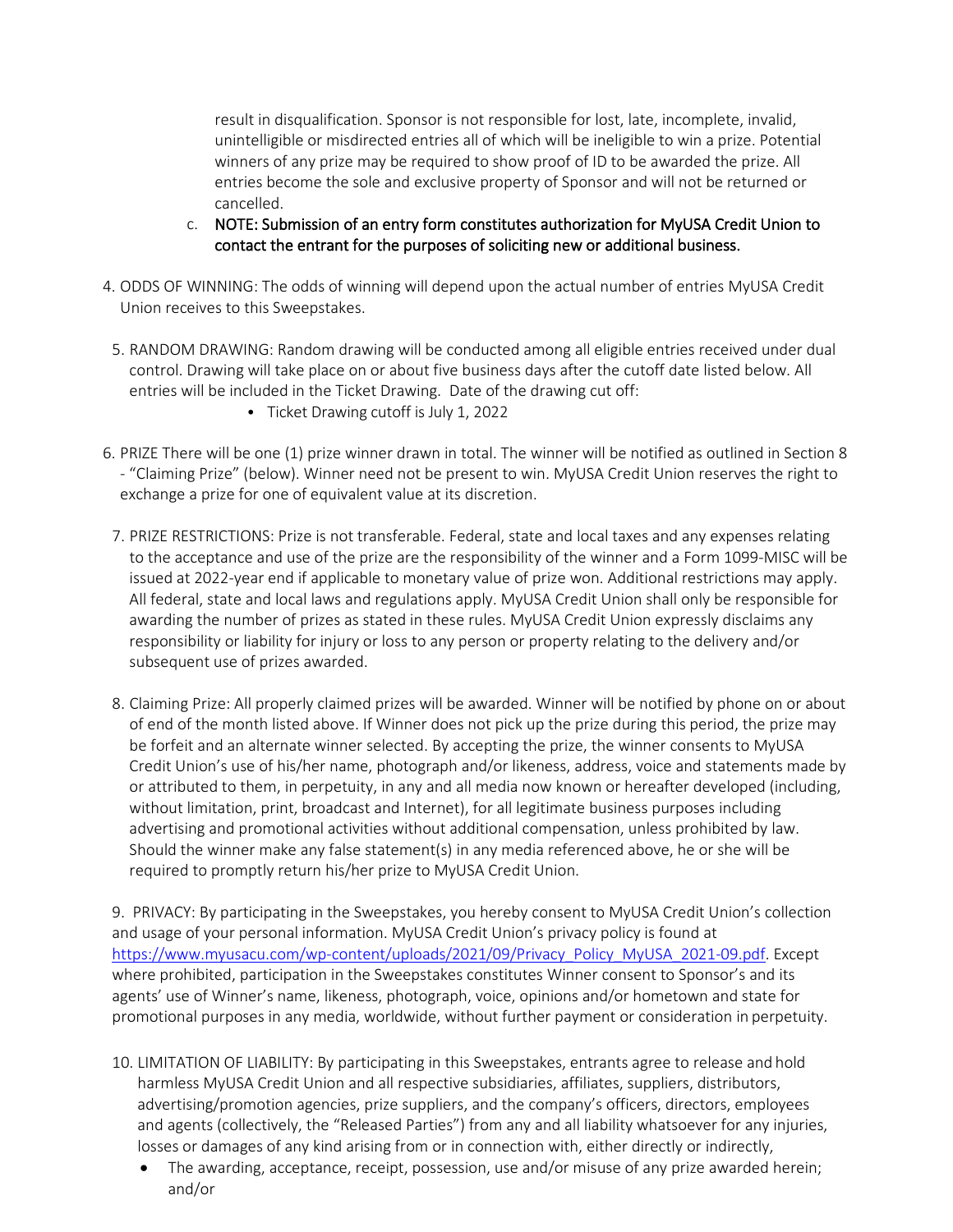result in disqualification. Sponsor is not responsible for lost, late, incomplete, invalid, unintelligible or misdirected entries all of which will be ineligible to win a prize. Potential winners of any prize may be required to show proof of ID to be awarded the prize. All entries become the sole and exclusive property of Sponsor and will not be returned or cancelled.

- c. NOTE: Submission of an entry form constitutes authorization for MyUSA Credit Union to contact the entrant for the purposes of soliciting new or additional business.
- 4. ODDS OF WINNING: The odds of winning will depend upon the actual number of entries MyUSA Credit Union receives to this Sweepstakes.
- 5. RANDOM DRAWING: Random drawing will be conducted among all eligible entries received under dual control. Drawing will take place on or about five business days after the cutoff date listed below. All entries will be included in the Ticket Drawing. Date of the drawing cut off:
	- Ticket Drawing cutoff is July 1, 2022
- 6. PRIZE There will be one (1) prize winner drawn in total. The winner will be notified as outlined in Section 8 - "Claiming Prize" (below). Winner need not be present to win. MyUSA Credit Union reserves the right to exchange a prize for one of equivalent value at its discretion.
- 7. PRIZE RESTRICTIONS: Prize is not transferable. Federal, state and local taxes and any expenses relating to the acceptance and use of the prize are the responsibility of the winner and a Form 1099-MISC will be issued at 2022-year end if applicable to monetary value of prize won. Additional restrictions may apply. All federal, state and local laws and regulations apply. MyUSA Credit Union shall only be responsible for awarding the number of prizes as stated in these rules. MyUSA Credit Union expressly disclaims any responsibility or liability for injury or loss to any person or property relating to the delivery and/or subsequent use of prizes awarded.
- 8. Claiming Prize: All properly claimed prizes will be awarded. Winner will be notified by phone on or about of end of the month listed above. If Winner does not pick up the prize during this period, the prize may be forfeit and an alternate winner selected. By accepting the prize, the winner consents to MyUSA Credit Union's use of his/her name, photograph and/or likeness, address, voice and statements made by or attributed to them, in perpetuity, in any and all media now known or hereafter developed (including, without limitation, print, broadcast and Internet), for all legitimate business purposes including advertising and promotional activities without additional compensation, unless prohibited by law. Should the winner make any false statement(s) in any media referenced above, he or she will be required to promptly return his/her prize to MyUSA Credit Union.

9. PRIVACY: By participating in the Sweepstakes, you hereby consent to MyUSA Credit Union's collection and usage of your personal information. MyUSA Credit Union's privacy policy is found at [https://www.myusacu.com/wp-content/uploads/2021/09/Privacy\\_Policy\\_MyUSA\\_2021-09.pdf.](https://www.myusacu.com/wp-content/uploads/2021/09/Privacy_Policy_MyUSA_2021-09.pdf) Except where prohibited, participation in the Sweepstakes constitutes Winner consent to Sponsor's and its agents' use of Winner's name, likeness, photograph, voice, opinions and/or hometown and state for promotional purposes in any media, worldwide, without further payment or consideration in perpetuity.

- 10. LIMITATION OF LIABILITY: By participating in this Sweepstakes, entrants agree to release and hold harmless MyUSA Credit Union and all respective subsidiaries, affiliates, suppliers, distributors, advertising/promotion agencies, prize suppliers, and the company's officers, directors, employees and agents (collectively, the "Released Parties") from any and all liability whatsoever for any injuries, losses or damages of any kind arising from or in connection with, either directly or indirectly,
	- The awarding, acceptance, receipt, possession, use and/or misuse of any prize awarded herein; and/or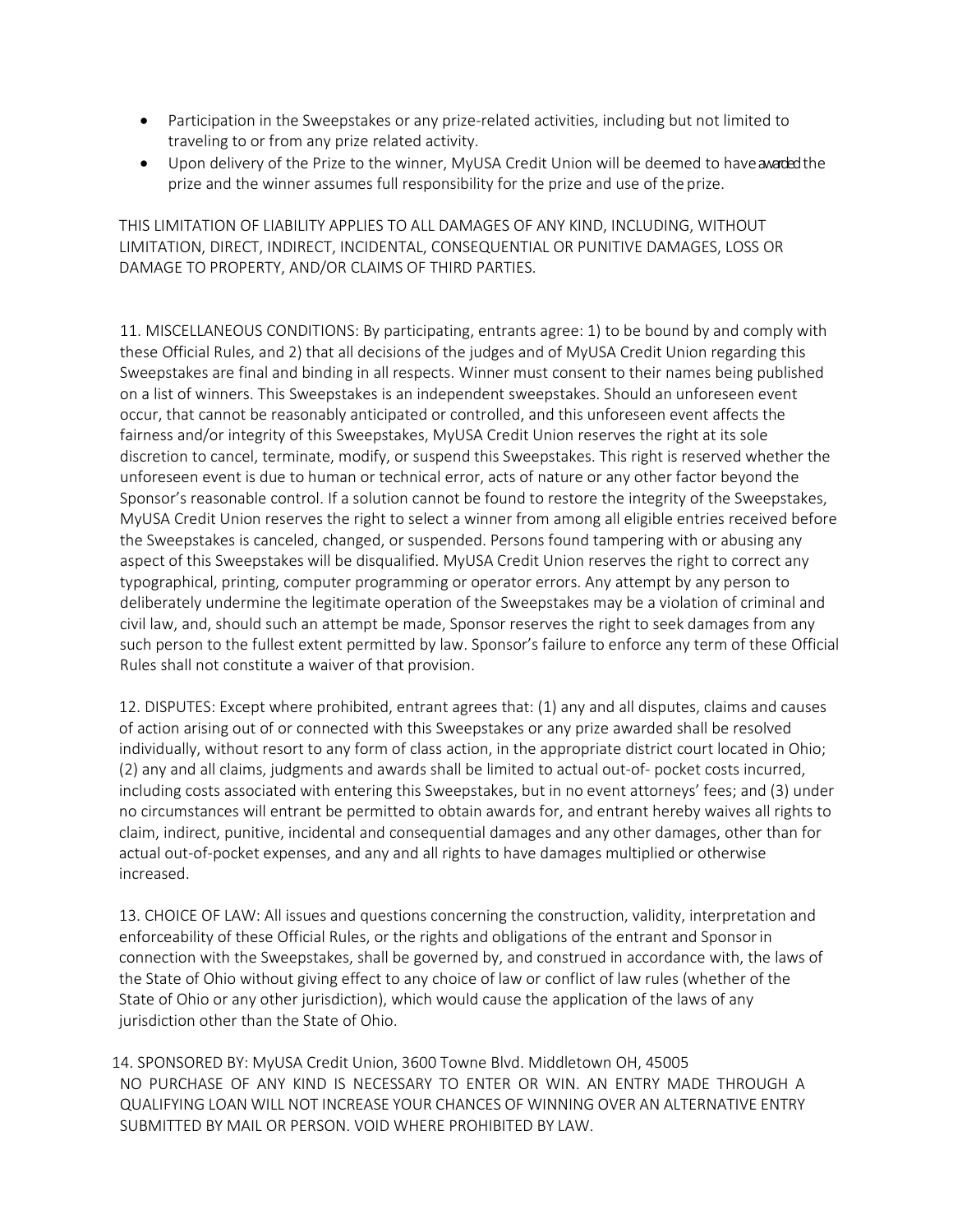- Participation in the Sweepstakes or any prize-related activities, including but not limited to traveling to or from any prize related activity.
- Upon delivery of the Prize to the winner, MyUSA Credit Union will be deemed to have a warded the prize and the winner assumes full responsibility for the prize and use of the prize.

THIS LIMITATION OF LIABILITY APPLIES TO ALL DAMAGES OF ANY KIND, INCLUDING, WITHOUT LIMITATION, DIRECT, INDIRECT, INCIDENTAL, CONSEQUENTIAL OR PUNITIVE DAMAGES, LOSS OR DAMAGE TO PROPERTY, AND/OR CLAIMS OF THIRD PARTIES.

11. MISCELLANEOUS CONDITIONS: By participating, entrants agree: 1) to be bound by and comply with these Official Rules, and 2) that all decisions of the judges and of MyUSA Credit Union regarding this Sweepstakes are final and binding in all respects. Winner must consent to their names being published on a list of winners. This Sweepstakes is an independent sweepstakes. Should an unforeseen event occur, that cannot be reasonably anticipated or controlled, and this unforeseen event affects the fairness and/or integrity of this Sweepstakes, MyUSA Credit Union reserves the right at its sole discretion to cancel, terminate, modify, or suspend this Sweepstakes. This right is reserved whether the unforeseen event is due to human or technical error, acts of nature or any other factor beyond the Sponsor's reasonable control. If a solution cannot be found to restore the integrity of the Sweepstakes, MyUSA Credit Union reserves the right to select a winner from among all eligible entries received before the Sweepstakes is canceled, changed, or suspended. Persons found tampering with or abusing any aspect of this Sweepstakes will be disqualified. MyUSA Credit Union reserves the right to correct any typographical, printing, computer programming or operator errors. Any attempt by any person to deliberately undermine the legitimate operation of the Sweepstakes may be a violation of criminal and civil law, and, should such an attempt be made, Sponsor reserves the right to seek damages from any such person to the fullest extent permitted by law. Sponsor's failure to enforce any term of these Official Rules shall not constitute a waiver of that provision.

12. DISPUTES: Except where prohibited, entrant agrees that: (1) any and all disputes, claims and causes of action arising out of or connected with this Sweepstakes or any prize awarded shall be resolved individually, without resort to any form of class action, in the appropriate district court located in Ohio; (2) any and all claims, judgments and awards shall be limited to actual out-of- pocket costs incurred, including costs associated with entering this Sweepstakes, but in no event attorneys' fees; and (3) under no circumstances will entrant be permitted to obtain awards for, and entrant hereby waives all rights to claim, indirect, punitive, incidental and consequential damages and any other damages, other than for actual out-of-pocket expenses, and any and all rights to have damages multiplied or otherwise increased.

13. CHOICE OF LAW: All issues and questions concerning the construction, validity, interpretation and enforceability of these Official Rules, or the rights and obligations of the entrant and Sponsorin connection with the Sweepstakes, shall be governed by, and construed in accordance with, the laws of the State of Ohio without giving effect to any choice of law or conflict of law rules (whether of the State of Ohio or any other jurisdiction), which would cause the application of the laws of any jurisdiction other than the State of Ohio.

14. SPONSORED BY: MyUSA Credit Union, 3600 Towne Blvd. Middletown OH, 45005 NO PURCHASE OF ANY KIND IS NECESSARY TO ENTER OR WIN. AN ENTRY MADE THROUGH A QUALIFYING LOAN WILL NOT INCREASE YOUR CHANCES OF WINNING OVER AN ALTERNATIVE ENTRY SUBMITTED BY MAIL OR PERSON. VOID WHERE PROHIBITED BY LAW.